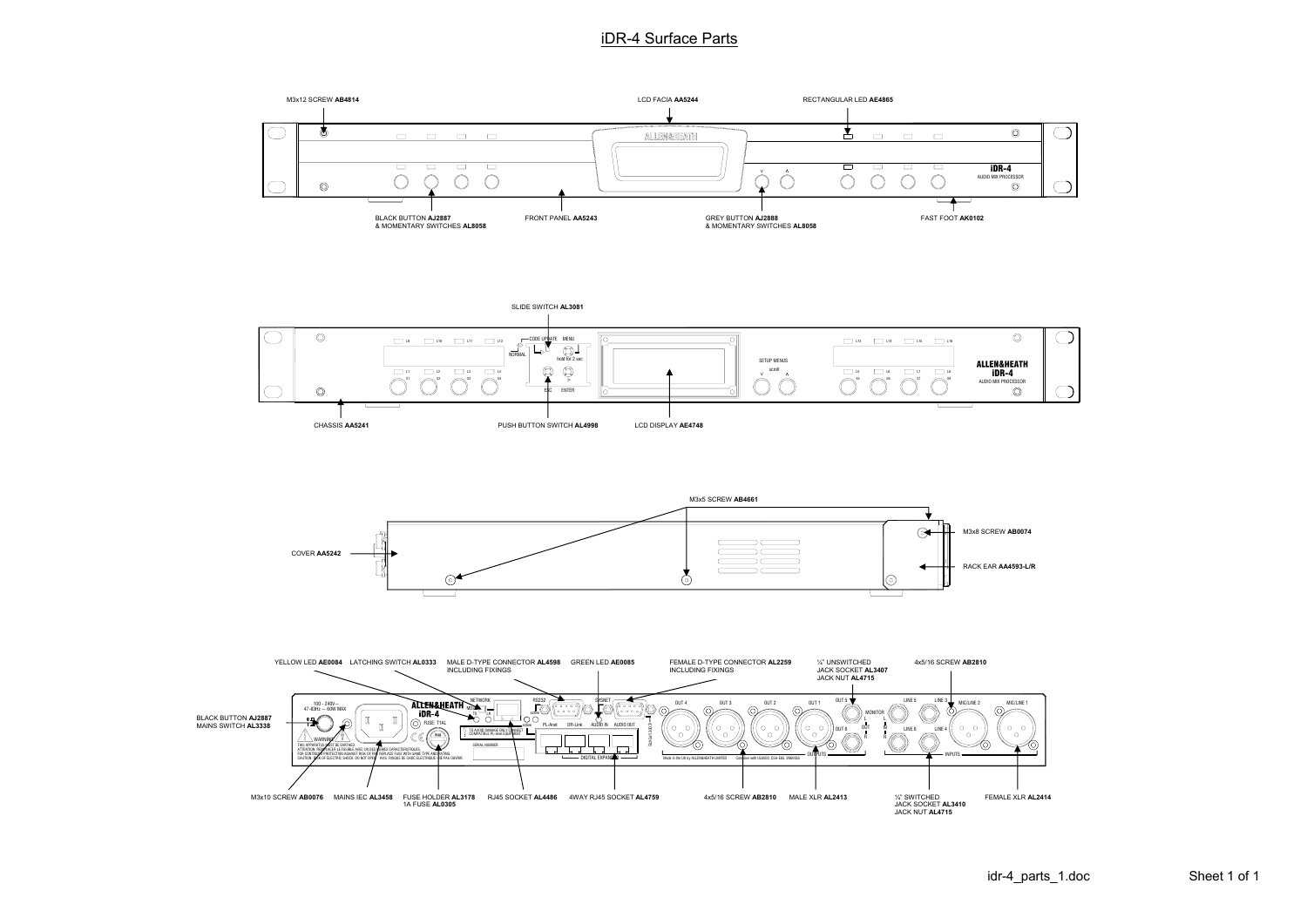## iDR-4 Surface Parts











RACK EAR **AA4593-L/R**

M3x8 SCREW **AB0074**